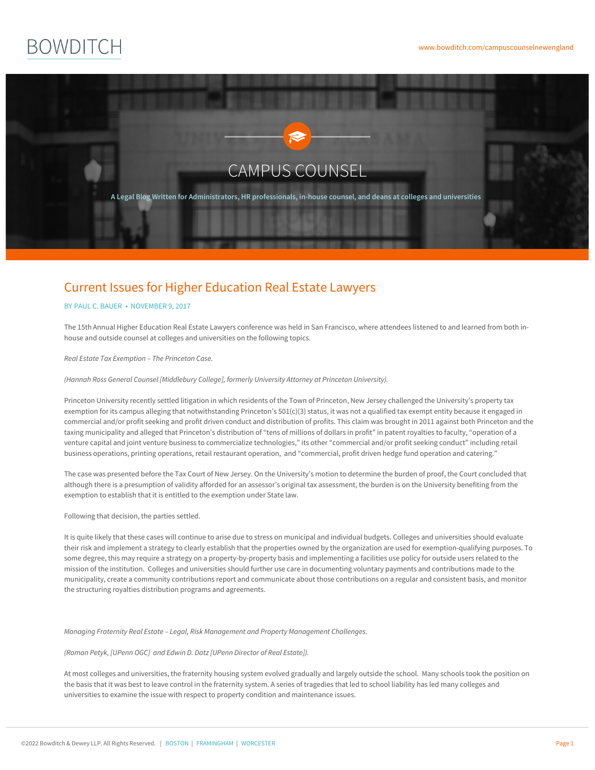# **BOWDITCH**



# Current Issues for Higher Education Real Estate Lawyers

## BY PAUL C. [BAUER](https://www.bowditch.com/attorney/paul-c-bauer) • NOVEMBER 9, 2017

The 15th Annual Higher Education Real Estate Lawyers conference was held in San Francisco, where attendees listened to and learned from both inhouse and outside counsel at colleges and universities on the following topics.

*Real Estate Tax Exemption – The Princeton Case.*

*(Hannah Ross General Counsel [Middlebury College], formerly University Attorney at Princeton University).*

Princeton University recently settled litigation in which residents of the Town of Princeton, New Jersey challenged the University's property tax exemption for its campus alleging that notwithstanding Princeton's 501(c)(3) status, it was not a qualified tax exempt entity because it engaged in commercial and/or profit seeking and profit driven conduct and distribution of profits. This claim was brought in 2011 against both Princeton and the taxing municipality and alleged that Princeton's distribution of "tens of millions of dollars in profit" in patent royalties to faculty, "operation of a venture capital and joint venture business to commercialize technologies," its other "commercial and/or profit seeking conduct" including retail business operations, printing operations, retail restaurant operation, and "commercial, profit driven hedge fund operation and catering."

The case was presented before the Tax Court of New Jersey. On the University's motion to determine the burden of proof, the Court concluded that although there is a presumption of validity afforded for an assessor's original tax assessment, the burden is on the University benefiting from the exemption to establish that it is entitled to the exemption under State law.

### Following that decision, the parties settled.

It is quite likely that these cases will continue to arise due to stress on municipal and individual budgets. Colleges and universities should evaluate their risk and implement a strategy to clearly establish that the properties owned by the organization are used for exemption-qualifying purposes. To some degree, this may require a strategy on a property-by-property basis and implementing a facilities use policy for outside users related to the mission of the institution. Colleges and universities should further use care in documenting voluntary payments and contributions made to the municipality, create a community contributions report and communicate about those contributions on a regular and consistent basis, and monitor the structuring royalties distribution programs and agreements.

*Managing Fraternity Real Estate – Legal, Risk Management and Property Management Challenges.*

*(Roman Petyk, [UPenn OGC] and Edwin D. Datz [UPenn Director of Real Estate]).*

At most colleges and universities, [the](https://www.bowditch.com/?p=174) fraternity [housin](https://www.bowditch.com/?p=176)g [system](https://www.bowditch.com/?p=175) evolved gradually and largely outside the school. Many schools took the position on the basis that it was best to leave control in the fraternity system. A series of tragedies that led to school liability has led many colleges and universities to examine the issue with respect to property condition and maintenance issues.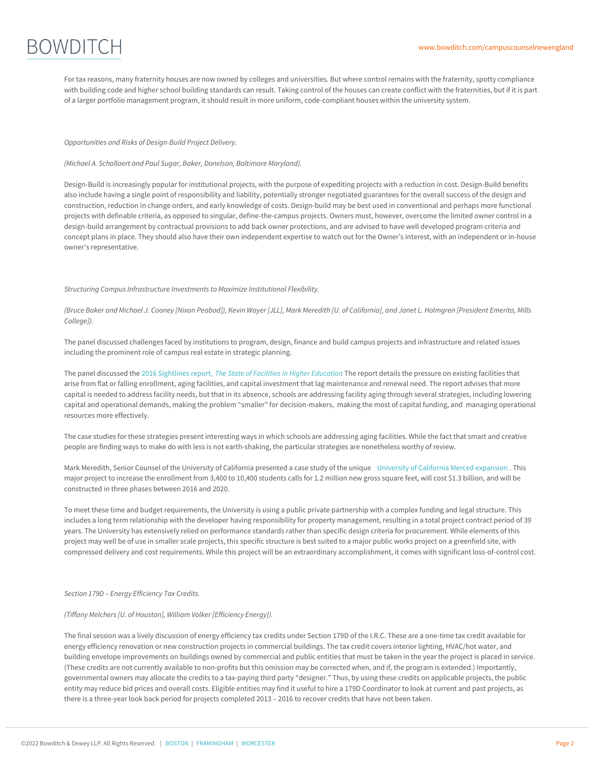

For tax reasons, many fraternity houses are now owned by colleges and universities. But where control remains with the fraternity, spotty compliance with building code and higher school building standards can result. Taking control of the houses can create conflict with the fraternities, but if it is part of a larger portfolio management program, it should result in more uniform, code-compliant houses within the university system.

#### *Opportunities and Risks of Design-Build Project Delivery.*

*(Michael A. Schollaert and Paul Sugar, Baker, Donelson, Baltimore Maryland).*

Design-Build is increasingly popular for institutional projects, with the purpose of expediting projects with a reduction in cost. Design-Build benefits also include having a single point of responsibility and liability, potentially stronger negotiated guarantees for the overall success of the design and construction, reduction in change orders, and early knowledge of costs. Design-build may be best used in conventional and perhaps more functional projects with definable criteria, as opposed to singular, define-the-campus projects. Owners must, however, overcome the limited owner control in a design-build arrangement by contractual provisions to add back owner protections, and are advised to have well developed program criteria and concept plans in place. They should also have their own independent expertise to watch out for the Owner's interest, with an independent or in-house owner's representative.

#### *Structuring CampusInfrastructure Investmentsto Maximize Institutional Flexibility.*

(Bruce Baker and Michael J. Cooney [Nixon Peabod]), Kevin Wayer [JLL], Mark Meredith [U. of California], and Janet L. Holmgren [President Emerita, Mills *College]).*

The panel discussed challenges faced by institutions to program, design, finance and build campus projects and infrastructure and related issues including the prominent role of campus real estate in strategic planning.

The panel discussed the 2016 Sightlines report, *The State of [Facilitiesin](http://www.sightlines.com/insight/state-of-facilities-2016/) Higher Education*. The report details the pressure on existing facilities that arise from flat or falling enrollment, aging facilities, and capital investment that lag maintenance and renewal need. The report advises that more capital is needed to address facility needs, but that in its absence, schools are addressing facility aging through several strategies, including lowering capital and operational demands, making the problem "smaller" for decision-makers, making the most of capital funding, and managing operational resources more effectively.

The case studies for these strategies present interesting ways in which schools are addressing aging facilities. While the fact that smart and creative people are finding ways to make do with less is not earth-shaking, the particular strategies are nonetheless worthy of review.

Mark Meredith, Senior Counsel of the University of California presented a case study of the unique University of California Merced [expansion](http://merced2020.ucmerced.edu/) . This major project to increase the enrollment from 3,400 to 10,400 students calls for 1.2 million new gross square feet, will cost \$1.3 billion, and will be constructed in three phases between 2016 and 2020.

To meet these time and budget requirements, the University is using a public private partnership with a complex funding and legal structure. This includes a long term relationship with the developer having responsibility for property management, resulting in a total project contract period of 39 years. The University has extensively relied on performance standards rather than specific design criteria for procurement. While elements of this project may well be of use in smaller scale projects, this specific structure is best suited to a major public works project on a greenfield site, with compressed delivery and cost requirements. While this project will be an extraordinary accomplishment, it comes with significant loss-of-control cost.

#### *Section 179D – Energy Efficiency Tax Credits.*

#### *(Tiffany Melchers[U. of Houston], William Volker [Efficiency Energy]).*

The final session was a lively discussion of energy efficiency tax credits under Section 179D of the I.R.C. These are a one-time tax credit available for energy efficiency renovation or new construction projects in commercial buildings. The tax credit covers interior lighting, HVAC/hot water, and building envelope improvements on buildings owned by commercial and public entities that must be taken in the year the project is placed in service. (These credits are not currently [availabl](https://www.bowditch.com/?p=174)e to [non-profit](https://www.bowditch.com/?p=176)s but [this](https://www.bowditch.com/?p=175) omission may be corrected when, and if, the program is extended.) Importantly, governmental owners may allocate the credits to a tax-paying third party "designer." Thus, by using these credits on applicable projects, the public entity may reduce bid prices and overall costs. Eligible entities may find it useful to hire a 179D Coordinator to look at current and past projects, as there is a three-year look back period for projects completed 2013 – 2016 to recover credits that have not been taken.